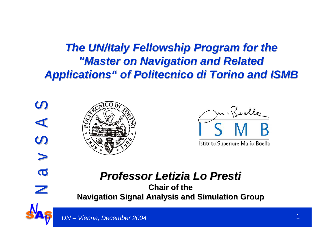**The UN/Italy Fellowship Program for the** *"Master on Navigation and Related "Master on Navigation and Related Applications" of Politecnico di Torino and ISMB Applications" of Politecnico di Torino and ISMB*





Istituto Superiore Mario Boella

#### *Professor Letizia Lo Presti Professor Letizia Lo Presti*

**Chair of the Navigation Signal Analysis and Simulation Group** 

 $\overline{\mathbf{C}}$ 

 $\mathbb Z$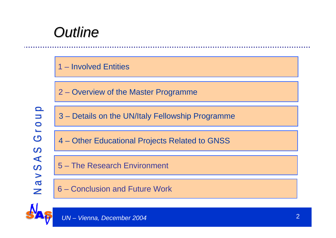### *Outline Outline*



2 – Overview of the Master Programme

Group N a v S A S G r o u p N a v S A S G r o u p  $\Omega$ NavSA

3 – Details on the UN/Italy Fellowship Programme

4 – Other Educational Projects Related to GNSS

5 – The Research Environment

6 – Conclusion and Future Work

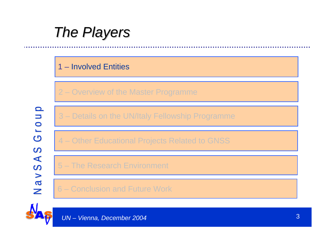### *The Players The Players*

#### 1 – Involved Entities

2 – Overview of the Master Programme

N a v S A S G r o u p N a v S A S G r o u p Grou  $\Omega$ ASVSA

3 – Details on the UN/Italy Fellowship Programme

4 – Other Educational Projects Related to GNSS

5 – The Research Environment

6 – Conclusion and Future Work

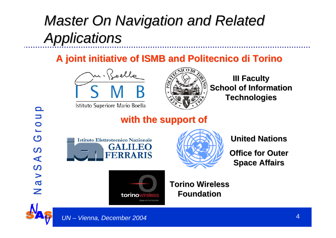## *Master On Navigation and Related Applications Applications*

**A joint initiative of ISMB and A joint initiative of ISMB and Politecnico di Torino Politecnico di Torino**



Istituto Superiore Mario Boella



#### **III Faculty III Faculty School of Information Technologies Technologies**

#### **with the support of with the support of**





**United Nations** 

**Office for Outer Space Affairs Space Affairs**



**Torino Wireless WirelessFoundation Foundation**

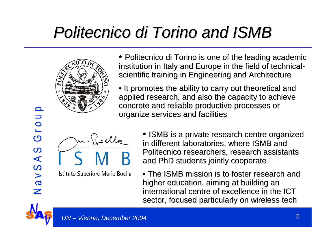# *Politecnico di Torino Politecnico di Torino and ISMB and ISMB*



- Politecnico di Torino is one of the leading academic institution in Italy and Europe in the field of technical scientific training in Engineering and Architecture
- $\bullet$  It promotes the ability to carry out theoretical and applied research, and also the capacity to achieve concrete and reliable productive processes or concrete and reliable productive processes or organize services and facilities



Istituto Superiore Mario Boella

- ISMB is a private research centre organized in different laboratories, where ISMB and Politecnico researchers, research assistants and PhD students jointly cooperate
- The ISMB mission is to foster research and higher education, aiming at building an international centre of excellence in the ICT sector, focused particularly on wireless tech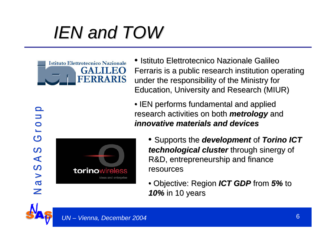# *IEN and TOW IEN and TOW*



• Istituto Elettrotecnico Nazionale Galileo Ferraris is a public research institution operating under the responsibility of the Ministry for Education, University and Research (MIUR) Education, University and Research (MIUR)

 $\bullet$  IEN performs fundamental and applied research activities on both *metrology* and *innovative materials and devices innovative materials and devices*

- Supports Supports the *development development* of *Torino ICT technological cluster* through sinergy of R&D, entrepreneurship and finance resources
- Objective Objective: Region *ICT GDP ICT GDP* from *5%* to *10%* in 10 years

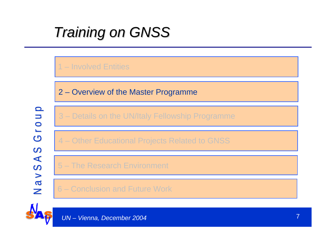## *Training on GNSS Training on GNSS*

#### 1 – Involved Entities

2 – Overview of the Master Programme

N a v S A S G r o u p N a v S A S G r o u p Grou  $\Omega$ NavSA

3 – Details on the UN/Italy Fellowship Programme

4 – Other Educational Projects Related to GNSS

5 – The Research Environment

6 – Conclusion and Future Work

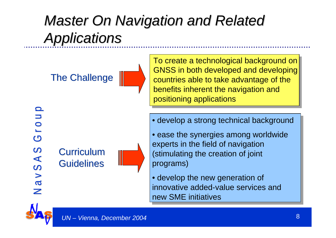## **Master On Navigation and Related** *Applications Applications*

**The Challenge** 

N a v S A S G r o u p N a v S A S G r o u p Grou SASVE Z

**Curriculum Guidelines** 



To create a technological background on GNSS in both developed and dev eloping countries able to take advantage of the benefits inherent the navigation and positioning applications

• develop a strong technic al background

- ease the synergies among worldwide experts in the field of navigation (stimulating the creation of joint programs)
- develop the new generation of innovative added-value services and new SME initiatives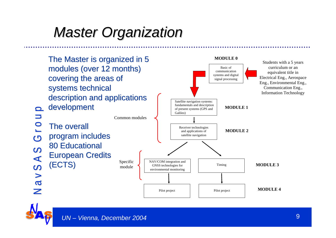## *Master Organization Master Organization*

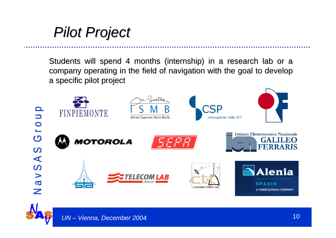*Pilot Project Pilot Project*

Students will spend 4 months (internship) in a research lab or a company operating in the field of navigation with the goal to develop a specific pilot project

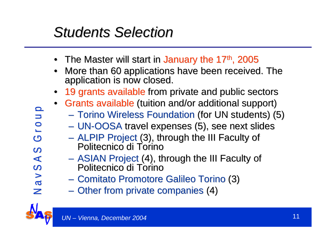### *Students Selection Students Selection*

- The Master will start in January the 17<sup>th</sup>, 2005
- $\bullet$ More than 60 applications have been received. The application is now closed.
- •19 grants available from private and public sectors
- Grants available (tuition and/or additional support)
	- Torino Wireless Foundation (for UN students) (5)
	- UN-OOSA travel expenses (5), see next slides
	- ALPIP Project (3), through the III Faculty of<br>Politecnico di Torino Politecnico di Torino
	- ASIAN Project (4), through the III Faculty of<br>Politecnico di Torino Politecnico di Torino
	- Comitato Promotore Galileo Torino (3)
	- **Hart Committee** - Other from private companies (4)

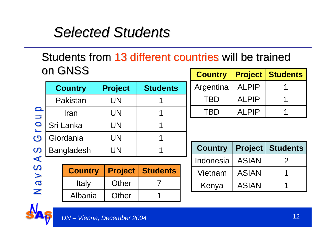#### *Selected Students Selected Students*

#### Students from 13 different countries will be trained on GNSS **Country Project Students**

|                   |                |                |                 | <u>sann y</u>  | I I VIVVL      | UTHUVITU        |
|-------------------|----------------|----------------|-----------------|----------------|----------------|-----------------|
| <b>Country</b>    |                | <b>Project</b> | <b>Students</b> | Argentina      | <b>ALPIP</b>   |                 |
| Pakistan          |                | <b>UN</b>      |                 | <b>TBD</b>     | <b>ALPIP</b>   |                 |
| <b>Iran</b>       |                | <b>UN</b>      |                 | <b>TBD</b>     | <b>ALPIP</b>   |                 |
| Sri Lanka         |                | <b>UN</b>      |                 |                |                |                 |
| Giordania         |                | <b>UN</b>      |                 |                |                |                 |
| <b>Bangladesh</b> |                | <b>UN</b>      |                 | <b>Country</b> | <b>Project</b> | <b>Students</b> |
|                   |                |                |                 | Indonesia      | <b>ASIAN</b>   | $\overline{2}$  |
|                   | <b>Country</b> | <b>Project</b> | <b>Students</b> | Vietnam        | <b>ASIAN</b>   |                 |
|                   | <b>Italy</b>   | Other          | 7               | Kenya          | <b>ASIAN</b>   |                 |
|                   | Albania        | <b>Other</b>   |                 |                |                |                 |

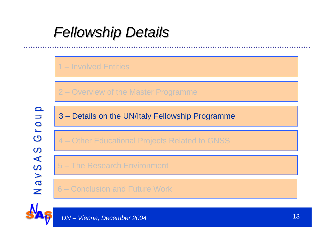#### 1 – Involved Entities

2 – Overview of the Master Programme

N a v S A S G r o u p N a v S A S G r o u p Grou  $\Omega$ NavSA

3 – Details on the UN/Italy Fellowship Programme

4 – Other Educational Projects Related to GNSS

5 – The Research Environment

6 – Conclusion and Future Work

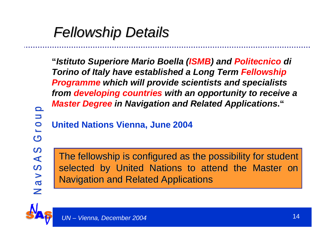**"***Istituto Superiore Mario Boella (ISMB) and Politecnico di Torino of Italy have established a Long Term Fellowship Programme which will provide scientists and specialists from developing countries with an opportunity to receive <sup>a</sup> Master Degree in Navigation and Related Applications***."** 

**United Nations Vienna, June 2004**

N a v S A S G r o u p N a v S A S G r o u p Grou NavSAS

The fellowship is configured as the possibility for student selected by United Nations to attend the Master on **Navigation and Related Applications** 

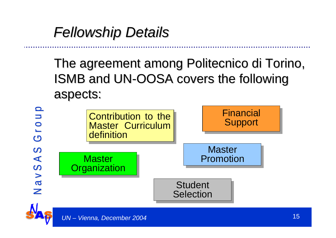The agreement among Politecnico di Torino, ISMB and UN-OOSA covers the following aspects: aspects:

Contribution to the Master Curriculum definitionFinancial **Support Master** Master **National Master** Promotion **Organization Student Selection** 



N a v S A S G r o u p N a v S A S G r o u p

 $\Omega$ 

 $\blacktriangleleft$ 

 $\overline{\mathcal{C}}$ 

 $\geq$  $\overline{c}$ Z

Group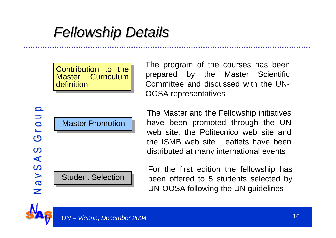Contribution to the Master Curriculum definition

The program of the courses has been prepared by the Master Scientific Committee and discussed with the UN-OOSA representatives

The Master and the Fellowship initiatives have been promoted through the UN web site, the Politecnico web site and the ISMB web site. Leaflets have been distributed at many international events

For the first edition the fellowship has been offered to 5 students selected by UN-OOSA following the UN guidelines

Master Promotion

Student Selection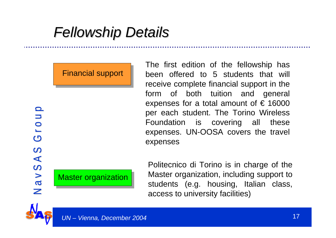Financial support

The first edition of the fellowship has been offered to 5 students that will receive complete financial support in the form of both tuition and general expenses for a total amount of  $\epsilon$  16000 per each student. The Torino Wireless Foundation is covering all these expenses. UN-OOSA covers the travel expenses

Master organization

Politecnico di Torino is in charge of the Master organization, including support to students (e.g. housing, Italian class, access to university facilities)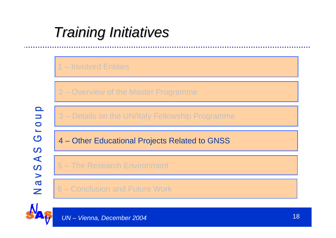### *Training Initiatives Training Initiatives*

#### 1 – Involved Entities

2 – Overview of the Master Programme

N a v S A S G r o u p N a v S A S G r o u p Grou  $\Omega$ NavSA

3 – Details on the UN/Italy Fellowship Programme

4 – Other Educational Projects Related to GNSS

5 – The Research Environment

6 – Conclusion and Future Work

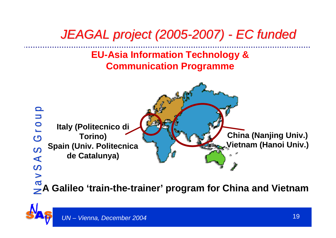#### *JEAGAL project (2005 JEAGAL project (2005-2007) - EC funded EC funded*

#### **EU-Asia Information Technology & Communication Programme**



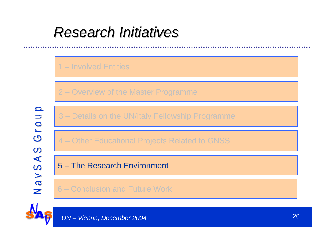#### *Research Initiatives Research Initiatives*

#### 1 – Involved Entities

2 – Overview of the Master Programme

N a v S A S G r o u p N a v S A S G r o u p Grou  $\Omega$ NavSA

3 – Details on the UN/Italy Fellowship Programme

4 – Other Educational Projects Related to GNSS

5 – The Research Environment

6 – Conclusion and Future Work

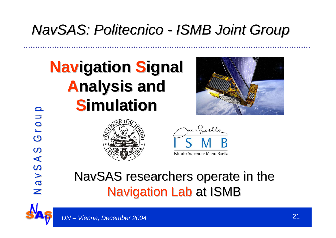## *NavSAS: Politecnico Politecnico - ISMB Joint Group ISMB Joint Group*

# **Navigation Signal Analysis nalysis and Simulation imulation**





Istituto Superiore Mario Boella

#### NavSAS researchers operate in the **Navigation Lab at ISMB**



N a v S A S G r o u p N a v S A S G r o u p

SASVE

Z

Group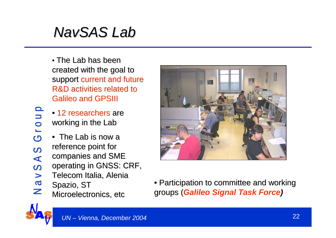## *NavSAS Lab*

- $\bullet$  The Lab has been created with the goal to support current and future R&D activities related to **Galileo and GPSIII**
- 12 researchers are working in the Lab
- $\bullet~$  The Lab is now a reference point for companies and SME operating in GNSS: CRF, Telecom Italia, Alenia Spazio, ST Microelectronics, etc



 $\bullet$  Participation to committee and working groups ( groups (*Galileo Signal Task Force)*

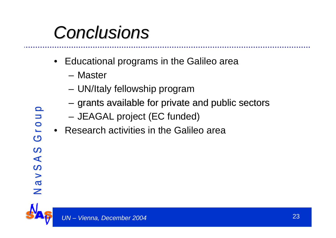# *Conclusions Conclusions*

- • Educational programs in the Galileo area
	- Master
	- and the state of the UN/Italy fellowship program
	- and the state of the  $-$  grants available for private and public sectors
	- and the state of the JEAGAL project (EC funded)
- •Research activities in the Galileo area